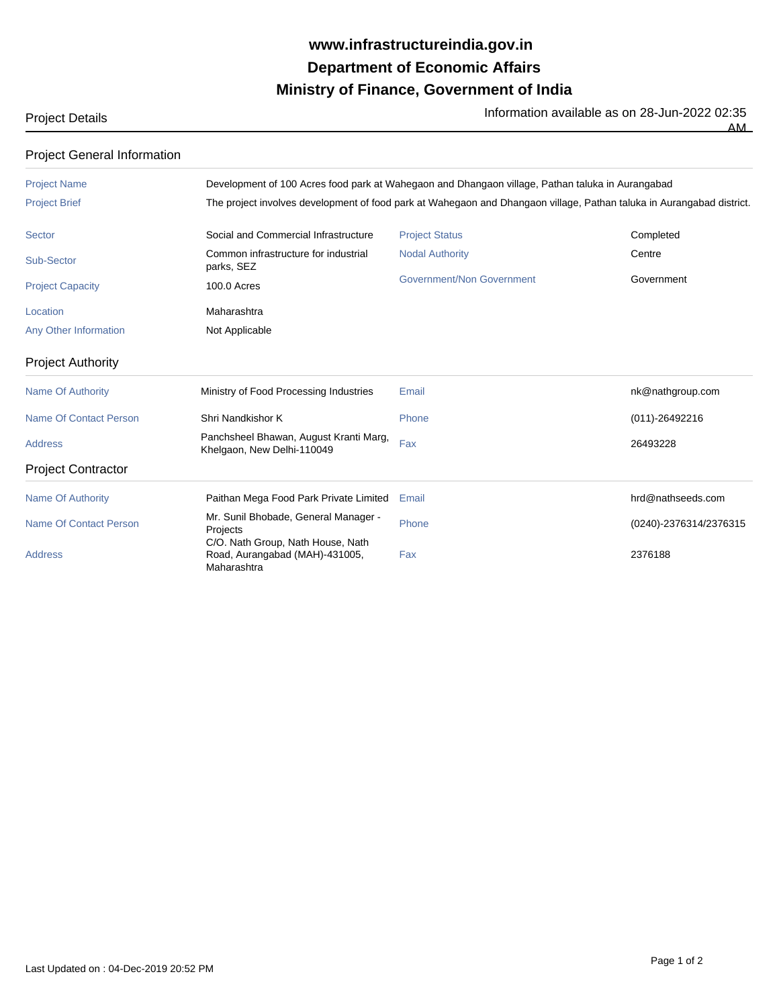## **Ministry of Finance, Government of India Department of Economic Affairs www.infrastructureindia.gov.in**

Project Details **Information available as on 28-Jun-2022 02:35** 

| <b>Project General Information</b> |                                                                                                                       |                                  |                        |  |  |
|------------------------------------|-----------------------------------------------------------------------------------------------------------------------|----------------------------------|------------------------|--|--|
| <b>Project Name</b>                | Development of 100 Acres food park at Wahegaon and Dhangaon village, Pathan taluka in Aurangabad                      |                                  |                        |  |  |
| <b>Project Brief</b>               | The project involves development of food park at Wahegaon and Dhangaon village, Pathan taluka in Aurangabad district. |                                  |                        |  |  |
| <b>Sector</b>                      | Social and Commercial Infrastructure                                                                                  | <b>Project Status</b>            | Completed              |  |  |
| Sub-Sector                         | Common infrastructure for industrial<br>parks, SEZ                                                                    | <b>Nodal Authority</b>           | Centre                 |  |  |
| <b>Project Capacity</b>            | <b>100.0 Acres</b>                                                                                                    | <b>Government/Non Government</b> | Government             |  |  |
| Location                           | Maharashtra                                                                                                           |                                  |                        |  |  |
| <b>Any Other Information</b>       | Not Applicable                                                                                                        |                                  |                        |  |  |
| <b>Project Authority</b>           |                                                                                                                       |                                  |                        |  |  |
| <b>Name Of Authority</b>           | Ministry of Food Processing Industries                                                                                | Email                            | nk@nathgroup.com       |  |  |
| <b>Name Of Contact Person</b>      | Shri Nandkishor K                                                                                                     | Phone                            | $(011)-26492216$       |  |  |
| <b>Address</b>                     | Panchsheel Bhawan, August Kranti Marg,<br>Khelgaon, New Delhi-110049                                                  | Fax                              | 26493228               |  |  |
| <b>Project Contractor</b>          |                                                                                                                       |                                  |                        |  |  |
| <b>Name Of Authority</b>           | Paithan Mega Food Park Private Limited                                                                                | Email                            | hrd@nathseeds.com      |  |  |
| <b>Name Of Contact Person</b>      | Mr. Sunil Bhobade, General Manager -<br>Projects                                                                      | Phone                            | (0240)-2376314/2376315 |  |  |
| <b>Address</b>                     | C/O. Nath Group, Nath House, Nath<br>Road, Aurangabad (MAH)-431005,<br>Maharashtra                                    | Fax                              | 2376188                |  |  |

 $\overline{AM}$